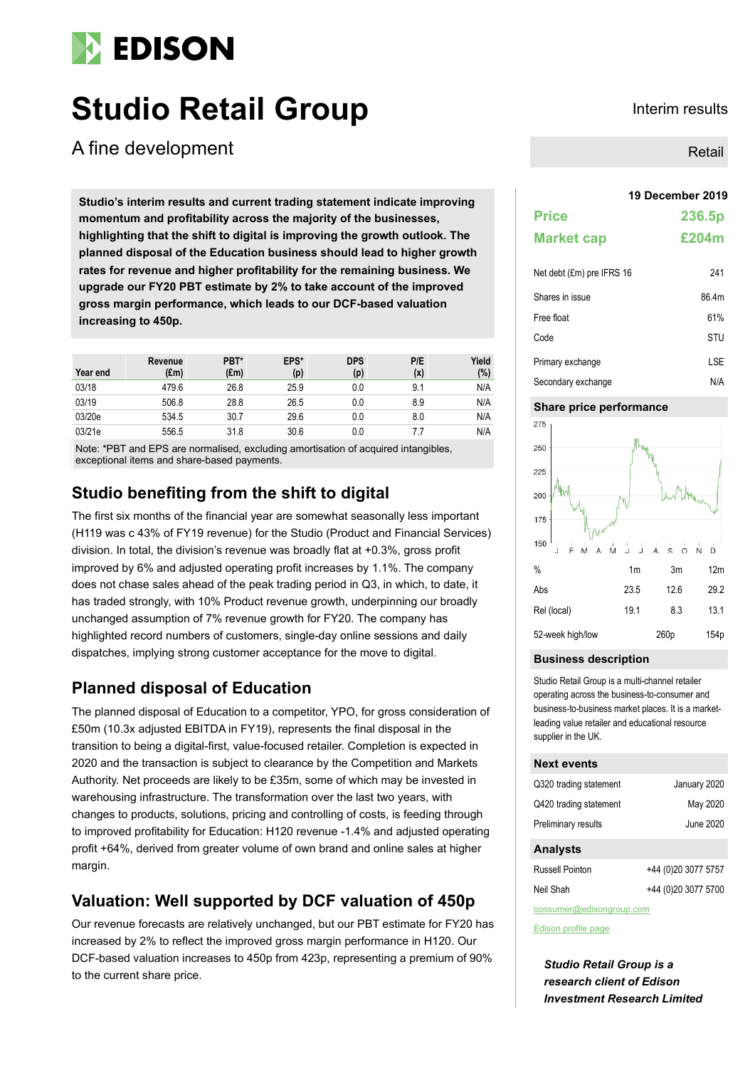# **EDISON**

# **Studio Retail Group Interim results**

A fine development

**19 December 2019 Studio's interim results and current trading statement indicate improving momentum and profitability across the majority of the businesses, highlighting that the shift to digital is improving the growth outlook. The planned disposal of the Education business should lead to higher growth rates for revenue and higher profitability for the remaining business. We upgrade our FY20 PBT estimate by 2% to take account of the improved gross margin performance, which leads to our DCF-based valuation increasing to 450p.**

| Year end | Revenue<br>$(\text{Em})$ | PBT*<br>$(\text{Em})$ | EPS*<br>(p) | <b>DPS</b><br>(p) | P/E<br>(x) | Yield<br>$(\% )$ |
|----------|--------------------------|-----------------------|-------------|-------------------|------------|------------------|
| 03/18    | 479.6                    | 26.8                  | 25.9        | 0.0               | 9.1        | N/A              |
| 03/19    | 506.8                    | 28.8                  | 26.5        | 0.0               | 8.9        | N/A              |
| 03/20e   | 534.5                    | 30.7                  | 29.6        | 0.0               | 8.0        | N/A              |
| 03/21e   | 556.5                    | 31.8                  | 30.6        | 0.0               |            | N/A              |

Note: \*PBT and EPS are normalised, excluding amortisation of acquired intangibles, exceptional items and share-based payments.

## **Studio benefiting from the shift to digital**

The first six months of the financial year are somewhat seasonally less important (H119 was c 43% of FY19 revenue) for the Studio (Product and Financial Services) division. In total, the division's revenue was broadly flat at +0.3%, gross profit improved by 6% and adjusted operating profit increases by 1.1%. The company does not chase sales ahead of the peak trading period in Q3, in which, to date, it has traded strongly, with 10% Product revenue growth, underpinning our broadly unchanged assumption of 7% revenue growth for FY20. The company has highlighted record numbers of customers, single-day online sessions and daily dispatches, implying strong customer acceptance for the move to digital.

## **Planned disposal of Education**

The planned disposal of Education to a competitor, YPO, for gross consideration of £50m (10.3x adjusted EBITDA in FY19), represents the final disposal in the transition to being a digital-first, value-focused retailer. Completion is expected in 2020 and the transaction is subject to clearance by the Competition and Markets Authority. Net proceeds are likely to be £35m, some of which may be invested in warehousing infrastructure. The transformation over the last two years, with changes to products, solutions, pricing and controlling of costs, is feeding through to improved profitability for Education: H120 revenue -1.4% and adjusted operating profit +64%, derived from greater volume of own brand and online sales at higher margin.

# **Valuation: Well supported by DCF valuation of 450p**

Our revenue forecasts are relatively unchanged, but our PBT estimate for FY20 has increased by 2% to reflect the improved gross margin performance in H120. Our DCF-based valuation increases to 450p from 423p, representing a premium of 90% to the current share price.

Retail

| <b>Price</b>              | 236.5p |
|---------------------------|--------|
| <b>Market cap</b>         | £204m  |
| Net debt (£m) pre IFRS 16 | 241    |

| Shares in issue    | 86.4m      |
|--------------------|------------|
| Free float         | 61%        |
| Code               | STU        |
| Primary exchange   | <b>LSE</b> |
| Secondary exchange | N/A        |

### **Share price performance**



### **Business description**

Studio Retail Group is a multi-channel retailer operating across the business-to-consumer and business-to-business market places. It is a marketleading value retailer and educational resource supplier in the UK.

#### **Next events**

| Q320 trading statement | January 2020        |
|------------------------|---------------------|
| Q420 trading statement | May 2020            |
| Preliminary results    | June 2020           |
|                        |                     |
| <b>Analysts</b>        |                     |
| <b>Russell Pointon</b> | +44 (0)20 3077 5757 |

| consumer@edisongroup.com |  |
|--------------------------|--|

[Edison profile page](https://www.edisongroup.com/company/studio-retail-group/2061/)

*Studio Retail Group is a research client of Edison Investment Research Limited*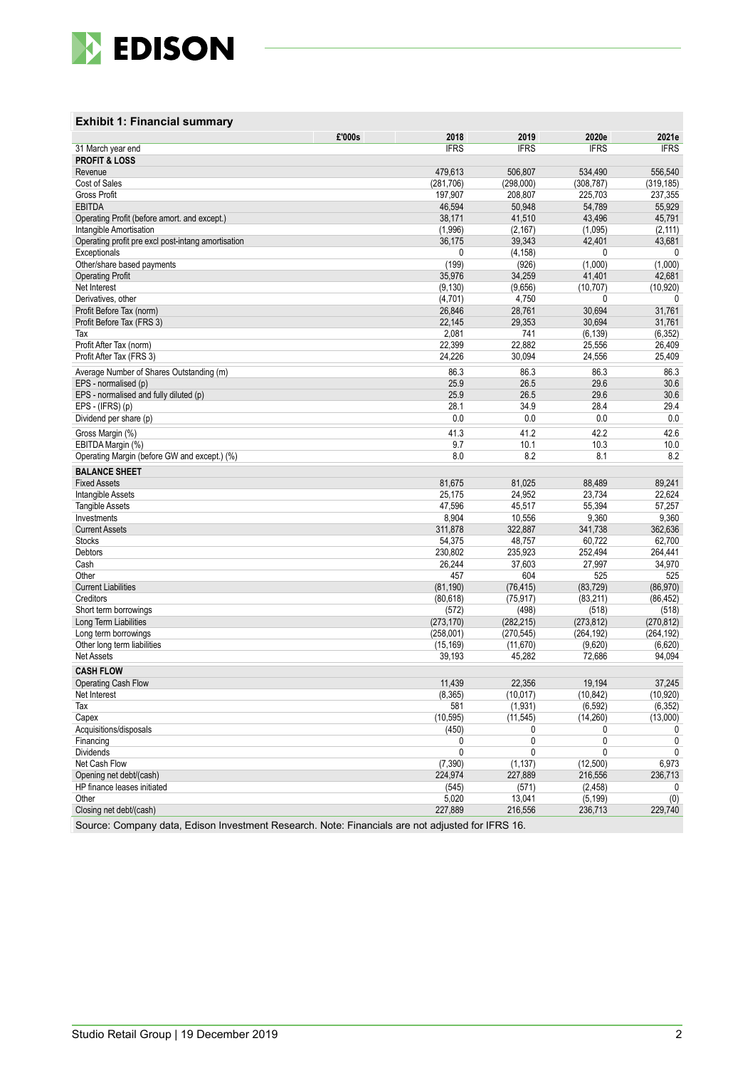

### **Exhibit 1: Financial summary**

|                                                    | £'000s<br>2018     | 2019                | 2020e          | 2021e       |
|----------------------------------------------------|--------------------|---------------------|----------------|-------------|
| 31 March year end                                  | <b>IFRS</b>        | <b>IFRS</b>         | <b>IFRS</b>    | <b>IFRS</b> |
| <b>PROFIT &amp; LOSS</b>                           |                    |                     |                |             |
| Revenue                                            | 479,613            | 506,807             | 534,490        | 556,540     |
| Cost of Sales                                      | (281, 706)         | (298,000)           | (308, 787)     | (319, 185)  |
| <b>Gross Profit</b>                                | 197,907            | 208,807             | 225,703        | 237,355     |
| <b>EBITDA</b>                                      | 46,594             | 50,948              | 54,789         | 55,929      |
| Operating Profit (before amort. and except.)       | 38,171             | 41,510              | 43,496         | 45,791      |
| Intangible Amortisation                            | (1,996)            | (2, 167)            | (1,095)        | (2, 111)    |
| Operating profit pre excl post-intang amortisation | 36,175             | 39,343              | 42,401         | 43,681      |
| Exceptionals                                       | 0                  | (4, 158)            | 0              | 0           |
| Other/share based payments                         | (199)              | (926)               | (1,000)        | (1,000)     |
| <b>Operating Profit</b>                            | 35,976             | 34,259              | 41,401         | 42,681      |
| Net Interest                                       | (9, 130)           | (9,656)             | (10, 707)      | (10, 920)   |
| Derivatives, other                                 | (4,701)            | 4,750               | 0              | 0           |
| Profit Before Tax (norm)                           | 26,846             | 28,761              | 30,694         | 31,761      |
| Profit Before Tax (FRS 3)                          | 22,145             | 29,353              | 30,694         | 31,761      |
| Tax                                                | 2,081              | 741                 | (6, 139)       | (6, 352)    |
| Profit After Tax (norm)                            | 22,399             | 22,882              | 25,556         | 26,409      |
| Profit After Tax (FRS 3)                           | 24,226             | 30,094              | 24,556         | 25,409      |
|                                                    |                    |                     |                |             |
| Average Number of Shares Outstanding (m)           | 86.3               | 86.3                | 86.3           | 86.3        |
| EPS - normalised (p)                               | 25.9               | 26.5                | 29.6           | 30.6        |
| EPS - normalised and fully diluted (p)             | 25.9               | 26.5                | 29.6           | 30.6        |
| EPS - (IFRS) (p)                                   | 28.1               | 34.9                | 28.4           | 29.4        |
| Dividend per share (p)                             | 0.0                | 0.0                 | 0.0            | 0.0         |
| Gross Margin (%)                                   | 41.3               | 41.2                | 42.2           | 42.6        |
| EBITDA Margin (%)                                  | 9.7                | 10.1                | 10.3           | 10.0        |
| Operating Margin (before GW and except.) (%)       | 8.0                | 8.2                 | 8.1            | 8.2         |
| <b>BALANCE SHEET</b>                               |                    |                     |                |             |
| <b>Fixed Assets</b>                                | 81,675             | 81,025              | 88,489         | 89,241      |
| Intangible Assets                                  | 25,175             | 24,952              | 23,734         | 22,624      |
| <b>Tangible Assets</b>                             | 47,596             | 45,517              | 55,394         | 57,257      |
| Investments                                        | 8,904              | 10,556              | 9,360          | 9,360       |
| <b>Current Assets</b>                              | 311,878            | 322,887             | 341,738        | 362,636     |
| <b>Stocks</b>                                      | 54,375             | 48,757              | 60,722         | 62,700      |
| Debtors                                            | 230,802            | 235,923             | 252,494        | 264,441     |
| Cash                                               | 26,244             | 37,603              | 27,997         | 34,970      |
| Other                                              | 457                | 604                 | 525            | 525         |
| <b>Current Liabilities</b>                         | (81, 190)          | (76, 415)           | (83, 729)      | (86, 970)   |
| Creditors                                          | (80, 618)          | (75, 917)           | (83, 211)      | (86, 452)   |
| Short term borrowings                              | (572)              | (498)               | (518)          | (518)       |
| Long Term Liabilities                              | (273, 170)         | (282, 215)          | (273, 812)     | (270, 812)  |
| Long term borrowings                               | (258,001)          | (270, 545)          | (264, 192)     | (264, 192)  |
| Other long term liabilities                        | (15, 169)          | (11, 670)           | (9,620)        | (6,620)     |
| <b>Net Assets</b>                                  | 39,193             | 45,282              | 72,686         | 94,094      |
| <b>CASH FLOW</b>                                   |                    |                     |                |             |
|                                                    |                    |                     |                |             |
| <b>Operating Cash Flow</b>                         | 11,439             | 22,356<br>(10, 017) | 19,194         | 37,245      |
| Net Interest                                       | (8,365)<br>581     |                     | (10, 842)      | (10, 920)   |
| Tax                                                |                    | (1,931)             | (6, 592)       | (6, 352)    |
| Capex<br>Acquisitions/disposals                    | (10, 595)<br>(450) | (11, 545)<br>0      | (14, 260)<br>0 | (13,000)    |
|                                                    | 0                  | 0                   | 0              | 0           |
| Financing<br><b>Dividends</b>                      | 0                  | 0                   | 0              | 0           |
|                                                    |                    |                     |                |             |
| Net Cash Flow                                      | (7, 390)           | (1, 137)            | (12,500)       | 6,973       |
| Opening net debt/(cash)                            | 224,974            | 227,889             | 216,556        | 236,713     |
| HP finance leases initiated                        | (545)              | (571)               | (2, 458)       | 0           |
| Other                                              | 5,020              | 13,041              | (5, 199)       | (0)         |
| Closing net debt/(cash)                            | 227,889            | 216,556             | 236,713        | 229,740     |

Source: Company data, Edison Investment Research. Note: Financials are not adjusted for IFRS 16.